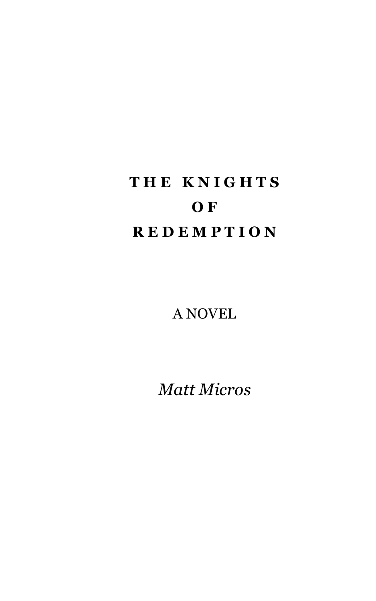# **T H E K N I G H T S O F R E D E M P T I O N**

A NOVEL

*Matt Micros*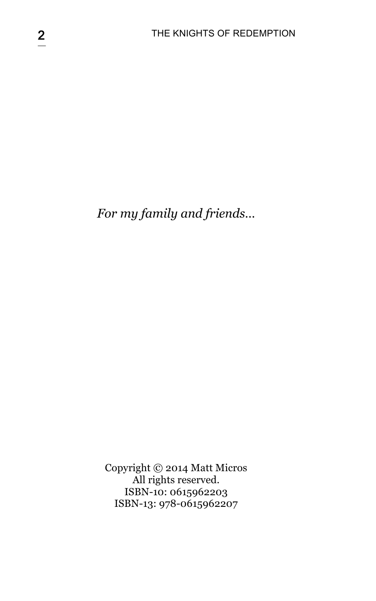*For my family and friends…*

Copyright © 2014 Matt Micros All rights reserved. ISBN-10: 0615962203 ISBN-13: 978-0615962207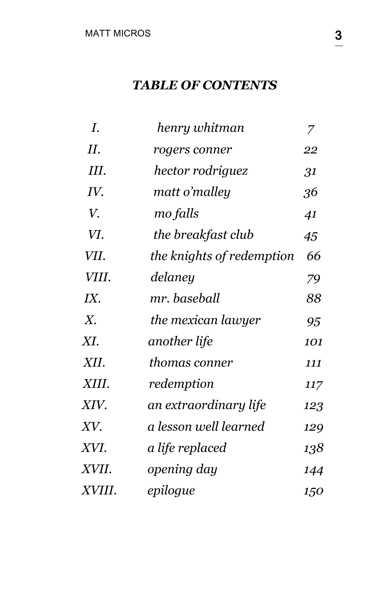### *TABLE OF CONTENTS*

| I.          | henry whitman             | 7   |
|-------------|---------------------------|-----|
| П.          | rogers conner             | 22  |
| Ш.          | hector rodriguez          | 31  |
| IV.         | matt o'malley             | 36  |
| V.          | mo falls                  | 41  |
| VI.         | the breakfast club        | 45  |
| VII.        | the knights of redemption | 66  |
| VIII.       | delaney                   | 79  |
| IX.         | mr. baseball              | 88  |
| $X_{\cdot}$ | the mexican lawyer        | 95  |
| XI.         | another life              | 101 |
| XII.        | thomas conner             | 111 |
| XIII.       | redemption                | 117 |
| XIV.        | an extraordinary life     | 123 |
| XV.         | a lesson well learned     | 129 |
| XVI.        | a life replaced           | 138 |
| XVII.       | opening day               | 144 |
| XVIII.      | epilogue                  | 150 |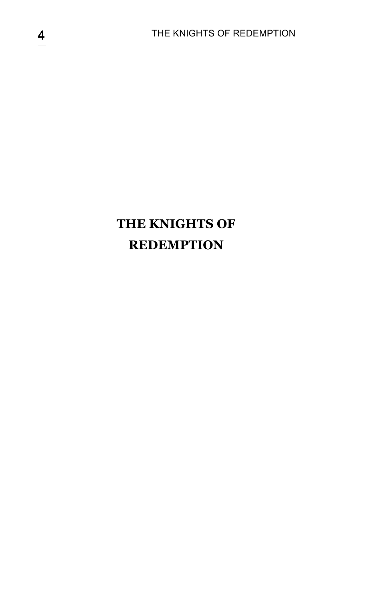## **THE KNIGHTS OF REDEMPTION**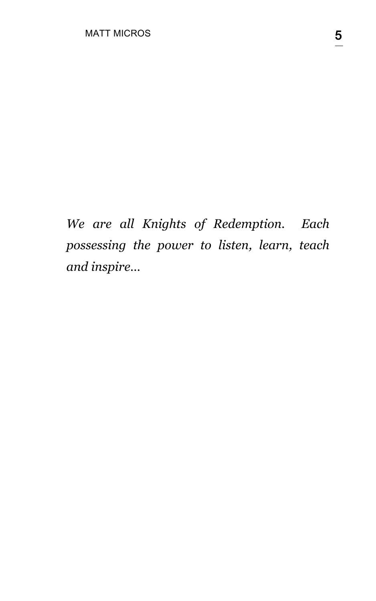*We are all Knights of Redemption. Each possessing the power to listen, learn, teach and inspire…*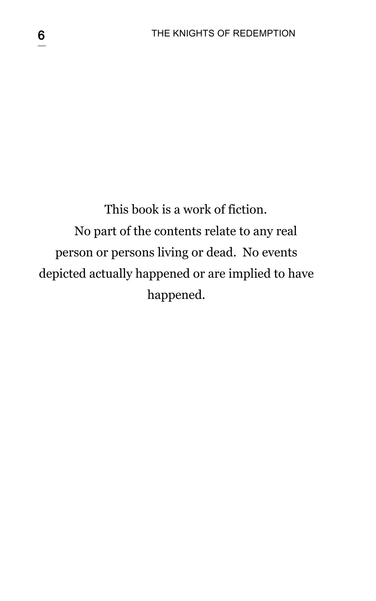# This book is a work of fiction. No part of the contents relate to any real person or persons living or dead. No events depicted actually happened or are implied to have happened.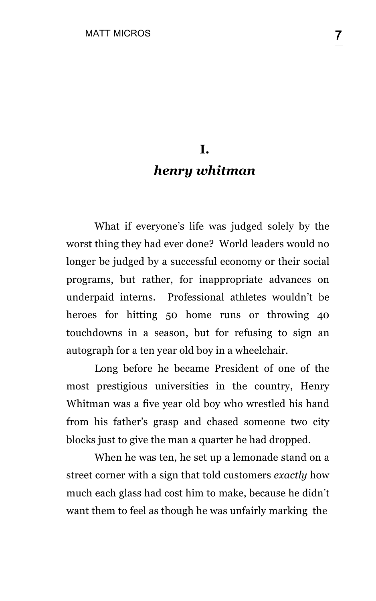## **I.** *henry whitman*

What if everyone's life was judged solely by the worst thing they had ever done? World leaders would no longer be judged by a successful economy or their social programs, but rather, for inappropriate advances on underpaid interns. Professional athletes wouldn't be heroes for hitting 50 home runs or throwing 40 touchdowns in a season, but for refusing to sign an autograph for a ten year old boy in a wheelchair.

Long before he became President of one of the most prestigious universities in the country, Henry Whitman was a five year old boy who wrestled his hand from his father's grasp and chased someone two city blocks just to give the man a quarter he had dropped.

When he was ten, he set up a lemonade stand on a street corner with a sign that told customers *exactly* how much each glass had cost him to make, because he didn't want them to feel as though he was unfairly marking the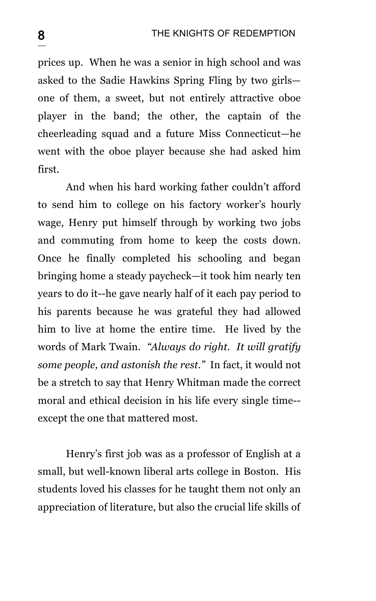prices up. When he was a senior in high school and was asked to the Sadie Hawkins Spring Fling by two girls one of them, a sweet, but not entirely attractive oboe player in the band; the other, the captain of the cheerleading squad and a future Miss Connecticut—he went with the oboe player because she had asked him first.

And when his hard working father couldn't afford to send him to college on his factory worker's hourly wage, Henry put himself through by working two jobs and commuting from home to keep the costs down. Once he finally completed his schooling and began bringing home a steady paycheck—it took him nearly ten years to do it--he gave nearly half of it each pay period to his parents because he was grateful they had allowed him to live at home the entire time. He lived by the words of Mark Twain. *"Always do right. It will gratify some people, and astonish the rest."* In fact, it would not be a stretch to say that Henry Whitman made the correct moral and ethical decision in his life every single time- except the one that mattered most.

Henry's first job was as a professor of English at a small, but well-known liberal arts college in Boston. His students loved his classes for he taught them not only an appreciation of literature, but also the crucial life skills of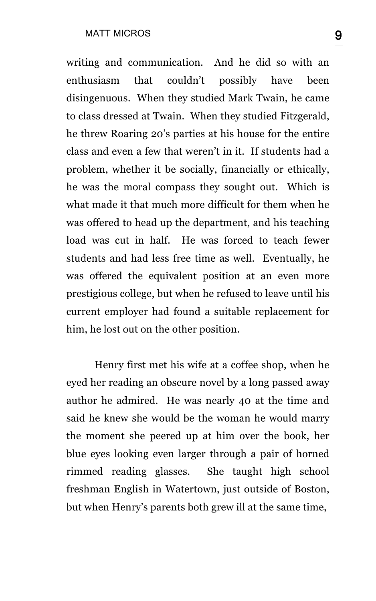writing and communication. And he did so with an enthusiasm that couldn't possibly have been disingenuous. When they studied Mark Twain, he came to class dressed at Twain. When they studied Fitzgerald, he threw Roaring 20's parties at his house for the entire class and even a few that weren't in it. If students had a problem, whether it be socially, financially or ethically, he was the moral compass they sought out. Which is what made it that much more difficult for them when he was offered to head up the department, and his teaching load was cut in half. He was forced to teach fewer students and had less free time as well. Eventually, he was offered the equivalent position at an even more prestigious college, but when he refused to leave until his current employer had found a suitable replacement for him, he lost out on the other position.

Henry first met his wife at a coffee shop, when he eyed her reading an obscure novel by a long passed away author he admired. He was nearly 40 at the time and said he knew she would be the woman he would marry the moment she peered up at him over the book, her blue eyes looking even larger through a pair of horned rimmed reading glasses. She taught high school freshman English in Watertown, just outside of Boston, but when Henry's parents both grew ill at the same time,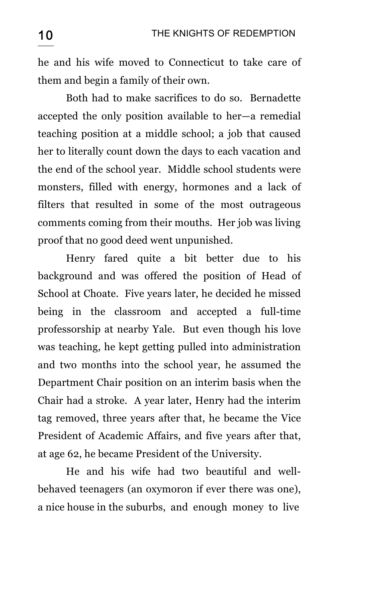he and his wife moved to Connecticut to take care of them and begin a family of their own.

Both had to make sacrifices to do so. Bernadette accepted the only position available to her—a remedial teaching position at a middle school; a job that caused her to literally count down the days to each vacation and the end of the school year. Middle school students were monsters, filled with energy, hormones and a lack of filters that resulted in some of the most outrageous comments coming from their mouths. Her job was living proof that no good deed went unpunished.

Henry fared quite a bit better due to his background and was offered the position of Head of School at Choate. Five years later, he decided he missed being in the classroom and accepted a full-time professorship at nearby Yale. But even though his love was teaching, he kept getting pulled into administration and two months into the school year, he assumed the Department Chair position on an interim basis when the Chair had a stroke. A year later, Henry had the interim tag removed, three years after that, he became the Vice President of Academic Affairs, and five years after that, at age 62, he became President of the University.

He and his wife had two beautiful and wellbehaved teenagers (an oxymoron if ever there was one), a nice house in the suburbs, and enough money to live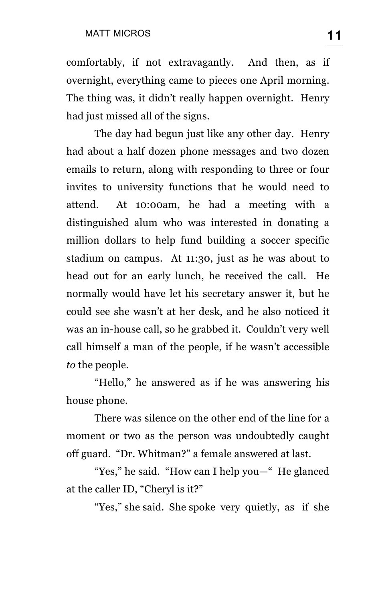comfortably, if not extravagantly. And then, as if overnight, everything came to pieces one April morning. The thing was, it didn't really happen overnight. Henry had just missed all of the signs.

The day had begun just like any other day. Henry had about a half dozen phone messages and two dozen emails to return, along with responding to three or four invites to university functions that he would need to attend. At 10:00am, he had a meeting with a distinguished alum who was interested in donating a million dollars to help fund building a soccer specific stadium on campus. At 11:30, just as he was about to head out for an early lunch, he received the call. He normally would have let his secretary answer it, but he could see she wasn't at her desk, and he also noticed it was an in-house call, so he grabbed it. Couldn't very well call himself a man of the people, if he wasn't accessible *to* the people.

"Hello," he answered as if he was answering his house phone.

There was silence on the other end of the line for a moment or two as the person was undoubtedly caught off guard. "Dr. Whitman?" a female answered at last.

"Yes," he said. "How can I help you—" He glanced at the caller ID, "Cheryl is it?"

"Yes," she said. She spoke very quietly, as if she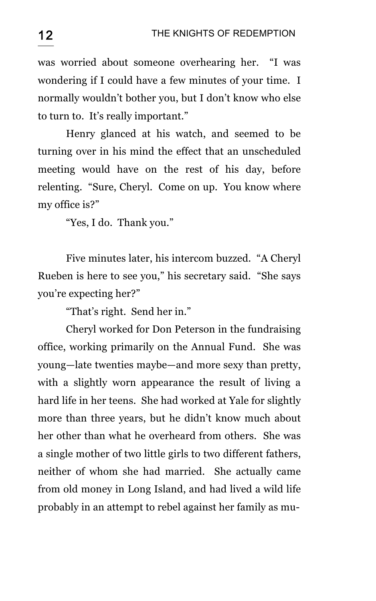was worried about someone overhearing her. "I was wondering if I could have a few minutes of your time. I normally wouldn't bother you, but I don't know who else to turn to. It's really important."

Henry glanced at his watch, and seemed to be turning over in his mind the effect that an unscheduled meeting would have on the rest of his day, before relenting. "Sure, Cheryl. Come on up. You know where my office is?"

"Yes, I do. Thank you."

Five minutes later, his intercom buzzed. "A Cheryl Rueben is here to see you," his secretary said. "She says you're expecting her?"

"That's right. Send her in."

Cheryl worked for Don Peterson in the fundraising office, working primarily on the Annual Fund. She was young—late twenties maybe—and more sexy than pretty, with a slightly worn appearance the result of living a hard life in her teens. She had worked at Yale for slightly more than three years, but he didn't know much about her other than what he overheard from others. She was a single mother of two little girls to two different fathers, neither of whom she had married. She actually came from old money in Long Island, and had lived a wild life probably in an attempt to rebel against her family as mu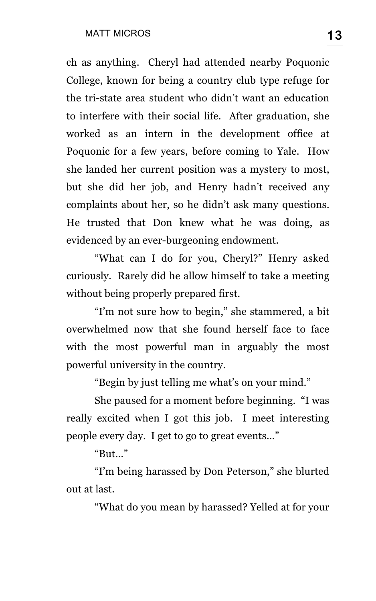ch as anything. Cheryl had attended nearby Poquonic College, known for being a country club type refuge for the tri-state area student who didn't want an education to interfere with their social life. After graduation, she worked as an intern in the development office at Poquonic for a few years, before coming to Yale. How she landed her current position was a mystery to most, but she did her job, and Henry hadn't received any complaints about her, so he didn't ask many questions. He trusted that Don knew what he was doing, as evidenced by an ever-burgeoning endowment.

"What can I do for you, Cheryl?" Henry asked curiously. Rarely did he allow himself to take a meeting without being properly prepared first.

"I'm not sure how to begin," she stammered, a bit overwhelmed now that she found herself face to face with the most powerful man in arguably the most powerful university in the country.

"Begin by just telling me what's on your mind."

She paused for a moment before beginning. "I was really excited when I got this job. I meet interesting people every day. I get to go to great events…"

"But…"

"I'm being harassed by Don Peterson," she blurted out at last.

"What do you mean by harassed? Yelled at for your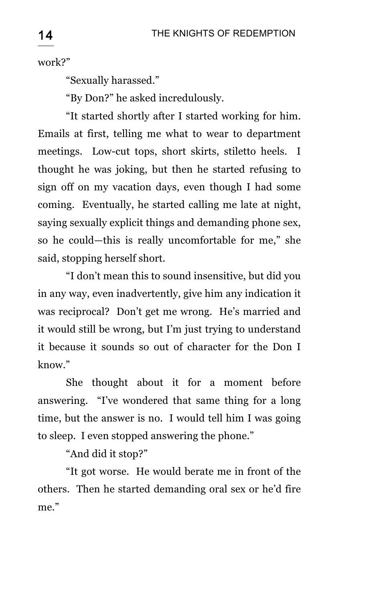work?"

"Sexually harassed."

"By Don?" he asked incredulously.

"It started shortly after I started working for him. Emails at first, telling me what to wear to department meetings. Low-cut tops, short skirts, stiletto heels. I thought he was joking, but then he started refusing to sign off on my vacation days, even though I had some coming. Eventually, he started calling me late at night, saying sexually explicit things and demanding phone sex, so he could—this is really uncomfortable for me," she said, stopping herself short.

"I don't mean this to sound insensitive, but did you in any way, even inadvertently, give him any indication it was reciprocal? Don't get me wrong. He's married and it would still be wrong, but I'm just trying to understand it because it sounds so out of character for the Don I know."

She thought about it for a moment before answering. "I've wondered that same thing for a long time, but the answer is no. I would tell him I was going to sleep. I even stopped answering the phone."

"And did it stop?"

"It got worse. He would berate me in front of the others. Then he started demanding oral sex or he'd fire me."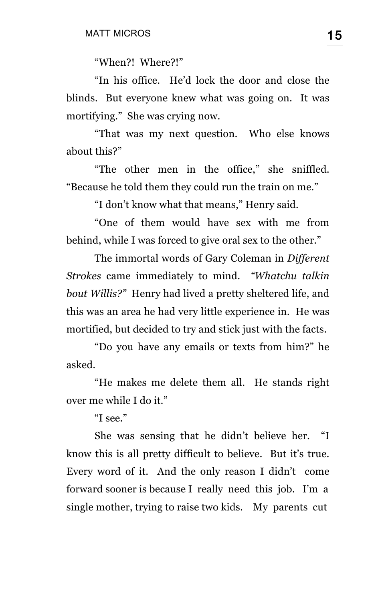"When?! Where?!"

"In his office. He'd lock the door and close the blinds. But everyone knew what was going on. It was mortifying." She was crying now.

"That was my next question. Who else knows about this?"

"The other men in the office," she sniffled. "Because he told them they could run the train on me."

"I don't know what that means," Henry said.

"One of them would have sex with me from behind, while I was forced to give oral sex to the other."

The immortal words of Gary Coleman in *Different Strokes* came immediately to mind. *"Whatchu talkin bout Willis?"* Henry had lived a pretty sheltered life, and this was an area he had very little experience in. He was mortified, but decided to try and stick just with the facts.

"Do you have any emails or texts from him?" he asked.

"He makes me delete them all. He stands right over me while I do it."

"I see."

She was sensing that he didn't believe her. "I know this is all pretty difficult to believe. But it's true. Every word of it. And the only reason I didn't come forward sooner is because I really need this job. I'm a single mother, trying to raise two kids. My parents cut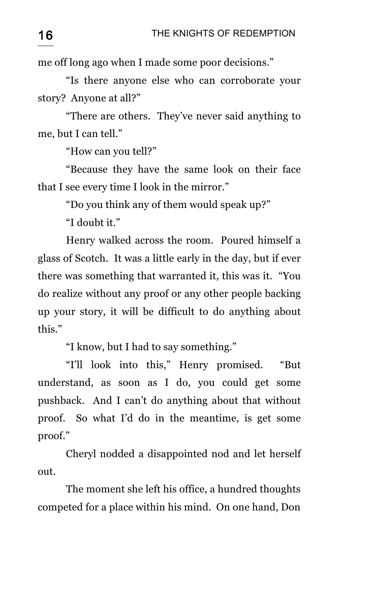me off long ago when I made some poor decisions."

"Is there anyone else who can corroborate your story? Anyone at all?"

"There are others. They've never said anything to me, but I can tell."

"How can you tell?"

"Because they have the same look on their face that I see every time I look in the mirror."

"Do you think any of them would speak up?"

"I doubt it."

Henry walked across the room. Poured himself a glass of Scotch. It was a little early in the day, but if ever there was something that warranted it, this was it. "You do realize without any proof or any other people backing up your story, it will be difficult to do anything about this."

"I know, but I had to say something."

"I'll look into this," Henry promised. "But understand, as soon as I do, you could get some pushback. And I can't do anything about that without proof. So what I'd do in the meantime, is get some proof."

Cheryl nodded a disappointed nod and let herself out.

The moment she left his office, a hundred thoughts competed for a place within his mind. On one hand, Don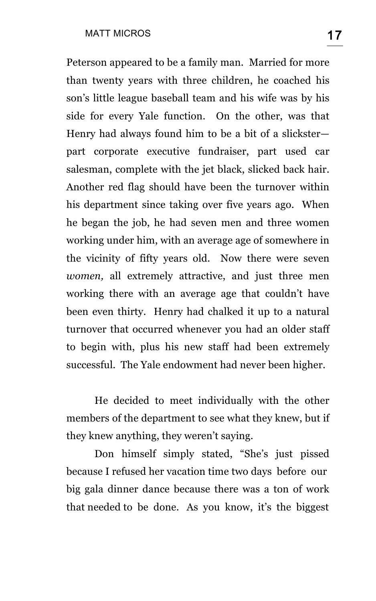Peterson appeared to be a family man. Married for more than twenty years with three children, he coached his son's little league baseball team and his wife was by his side for every Yale function. On the other, was that Henry had always found him to be a bit of a slickster part corporate executive fundraiser, part used car salesman, complete with the jet black, slicked back hair. Another red flag should have been the turnover within his department since taking over five years ago. When he began the job, he had seven men and three women working under him, with an average age of somewhere in the vicinity of fifty years old. Now there were seven *women,* all extremely attractive, and just three men working there with an average age that couldn't have been even thirty. Henry had chalked it up to a natural turnover that occurred whenever you had an older staff to begin with, plus his new staff had been extremely successful. The Yale endowment had never been higher.

He decided to meet individually with the other members of the department to see what they knew, but if they knew anything, they weren't saying.

Don himself simply stated, "She's just pissed because I refused her vacation time two days before our big gala dinner dance because there was a ton of work that needed to be done. As you know, it's the biggest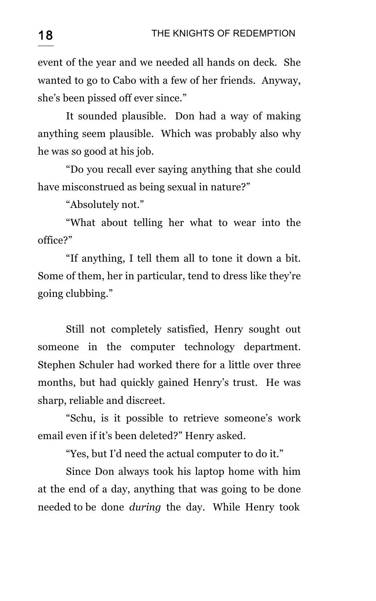event of the year and we needed all hands on deck. She wanted to go to Cabo with a few of her friends. Anyway, she's been pissed off ever since."

It sounded plausible. Don had a way of making anything seem plausible. Which was probably also why he was so good at his job.

"Do you recall ever saying anything that she could have misconstrued as being sexual in nature?"

"Absolutely not."

"What about telling her what to wear into the office?"

"If anything, I tell them all to tone it down a bit. Some of them, her in particular, tend to dress like they're going clubbing."

Still not completely satisfied, Henry sought out someone in the computer technology department. Stephen Schuler had worked there for a little over three months, but had quickly gained Henry's trust. He was sharp, reliable and discreet.

"Schu, is it possible to retrieve someone's work email even if it's been deleted?" Henry asked.

"Yes, but I'd need the actual computer to do it."

Since Don always took his laptop home with him at the end of a day, anything that was going to be done needed to be done *during* the day. While Henry took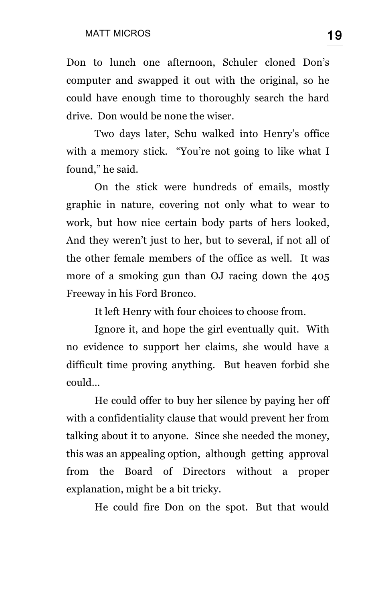Don to lunch one afternoon, Schuler cloned Don's computer and swapped it out with the original, so he could have enough time to thoroughly search the hard drive. Don would be none the wiser.

Two days later, Schu walked into Henry's office with a memory stick. "You're not going to like what I found," he said.

On the stick were hundreds of emails, mostly graphic in nature, covering not only what to wear to work, but how nice certain body parts of hers looked, And they weren't just to her, but to several, if not all of the other female members of the office as well. It was more of a smoking gun than OJ racing down the 405 Freeway in his Ford Bronco.

It left Henry with four choices to choose from.

Ignore it, and hope the girl eventually quit. With no evidence to support her claims, she would have a difficult time proving anything. But heaven forbid she could…

He could offer to buy her silence by paying her off with a confidentiality clause that would prevent her from talking about it to anyone. Since she needed the money, this was an appealing option, although getting approval from the Board of Directors without a proper explanation, might be a bit tricky.

He could fire Don on the spot. But that would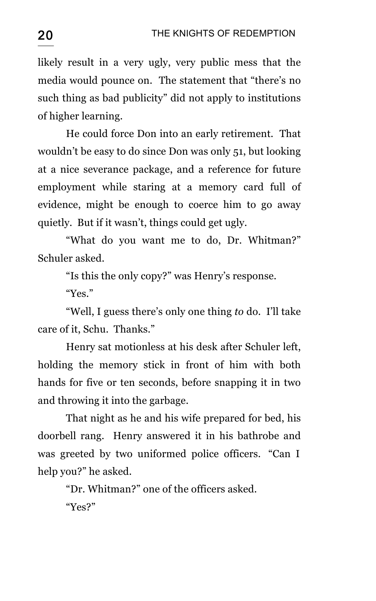likely result in a very ugly, very public mess that the media would pounce on. The statement that "there's no such thing as bad publicity" did not apply to institutions of higher learning.

He could force Don into an early retirement. That wouldn't be easy to do since Don was only 51, but looking at a nice severance package, and a reference for future employment while staring at a memory card full of evidence, might be enough to coerce him to go away quietly. But if it wasn't, things could get ugly.

"What do you want me to do, Dr. Whitman?" Schuler asked.

"Is this the only copy?" was Henry's response.

"Yes."

"Well, I guess there's only one thing *to* do. I'll take care of it, Schu. Thanks."

Henry sat motionless at his desk after Schuler left, holding the memory stick in front of him with both hands for five or ten seconds, before snapping it in two and throwing it into the garbage.

That night as he and his wife prepared for bed, his doorbell rang. Henry answered it in his bathrobe and was greeted by two uniformed police officers. "Can I help you?" he asked.

"Dr. Whitman?" one of the officers asked.

"Yes?"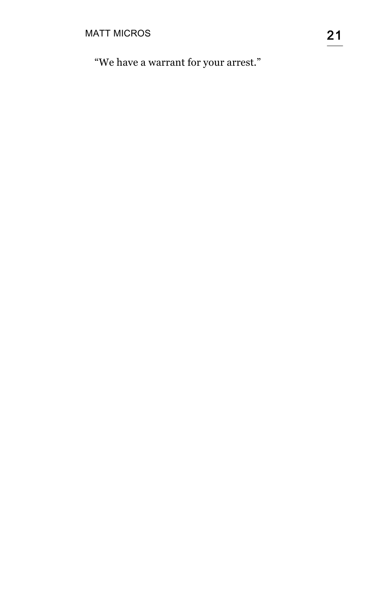"We have a warrant for your arrest."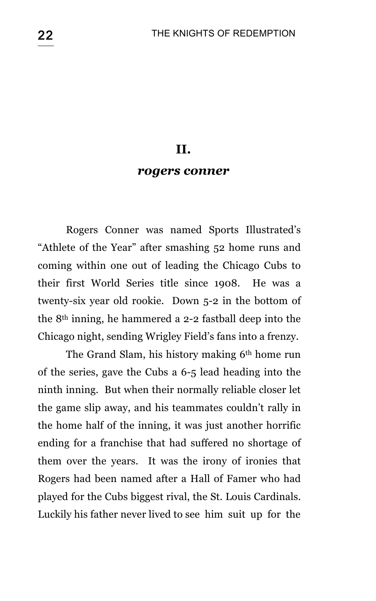#### **II.**

#### *rogers conner*

Rogers Conner was named Sports Illustrated's "Athlete of the Year" after smashing 52 home runs and coming within one out of leading the Chicago Cubs to their first World Series title since 1908. He was a twenty-six year old rookie. Down 5-2 in the bottom of the 8th inning, he hammered a 2-2 fastball deep into the Chicago night, sending Wrigley Field's fans into a frenzy.

The Grand Slam, his history making 6<sup>th</sup> home run of the series, gave the Cubs a 6-5 lead heading into the ninth inning. But when their normally reliable closer let the game slip away, and his teammates couldn't rally in the home half of the inning, it was just another horrific ending for a franchise that had suffered no shortage of them over the years. It was the irony of ironies that Rogers had been named after a Hall of Famer who had played for the Cubs biggest rival, the St. Louis Cardinals. Luckily his father never lived to see him suit up for the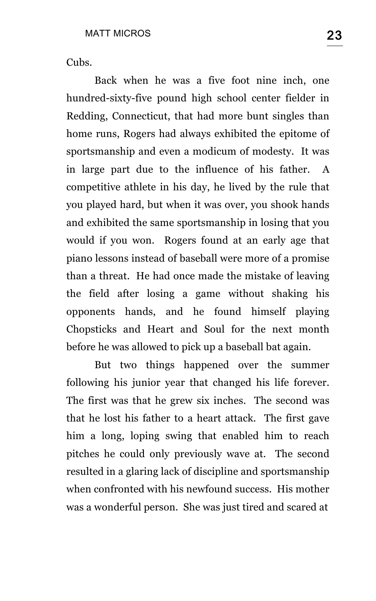Cubs.

Back when he was a five foot nine inch, one hundred-sixty-five pound high school center fielder in Redding, Connecticut, that had more bunt singles than home runs, Rogers had always exhibited the epitome of sportsmanship and even a modicum of modesty. It was in large part due to the influence of his father. A competitive athlete in his day, he lived by the rule that you played hard, but when it was over, you shook hands and exhibited the same sportsmanship in losing that you would if you won. Rogers found at an early age that piano lessons instead of baseball were more of a promise than a threat. He had once made the mistake of leaving the field after losing a game without shaking his opponents hands, and he found himself playing Chopsticks and Heart and Soul for the next month before he was allowed to pick up a baseball bat again.

But two things happened over the summer following his junior year that changed his life forever. The first was that he grew six inches. The second was that he lost his father to a heart attack. The first gave him a long, loping swing that enabled him to reach pitches he could only previously wave at. The second resulted in a glaring lack of discipline and sportsmanship when confronted with his newfound success. His mother was a wonderful person. She was just tired and scared at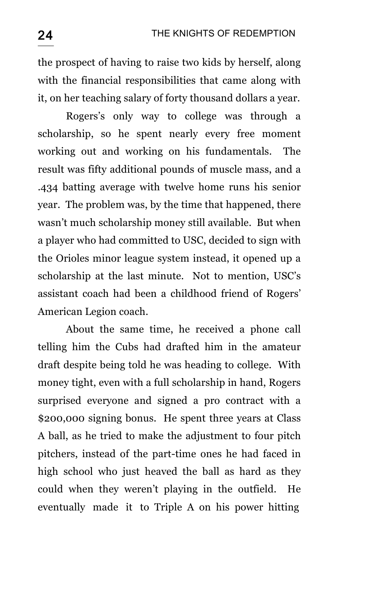the prospect of having to raise two kids by herself, along with the financial responsibilities that came along with it, on her teaching salary of forty thousand dollars a year.

Rogers's only way to college was through a scholarship, so he spent nearly every free moment working out and working on his fundamentals. The result was fifty additional pounds of muscle mass, and a .434 batting average with twelve home runs his senior year. The problem was, by the time that happened, there wasn't much scholarship money still available. But when a player who had committed to USC, decided to sign with the Orioles minor league system instead, it opened up a scholarship at the last minute. Not to mention, USC's assistant coach had been a childhood friend of Rogers' American Legion coach.

About the same time, he received a phone call telling him the Cubs had drafted him in the amateur draft despite being told he was heading to college. With money tight, even with a full scholarship in hand, Rogers surprised everyone and signed a pro contract with a \$200,000 signing bonus. He spent three years at Class A ball, as he tried to make the adjustment to four pitch pitchers, instead of the part-time ones he had faced in high school who just heaved the ball as hard as they could when they weren't playing in the outfield. He eventually made it to Triple A on his power hitting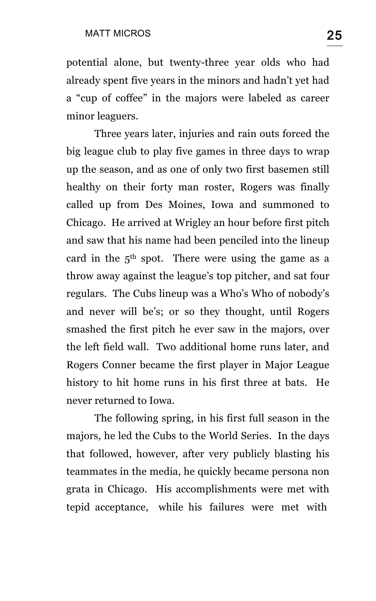potential alone, but twenty-three year olds who had already spent five years in the minors and hadn't yet had a "cup of coffee" in the majors were labeled as career minor leaguers.

Three years later, injuries and rain outs forced the big league club to play five games in three days to wrap up the season, and as one of only two first basemen still healthy on their forty man roster, Rogers was finally called up from Des Moines, Iowa and summoned to Chicago. He arrived at Wrigley an hour before first pitch and saw that his name had been penciled into the lineup card in the  $5<sup>th</sup>$  spot. There were using the game as a throw away against the league's top pitcher, and sat four regulars. The Cubs lineup was a Who's Who of nobody's and never will be's; or so they thought, until Rogers smashed the first pitch he ever saw in the majors, over the left field wall. Two additional home runs later, and Rogers Conner became the first player in Major League history to hit home runs in his first three at bats. He never returned to Iowa.

The following spring, in his first full season in the majors, he led the Cubs to the World Series. In the days that followed, however, after very publicly blasting his teammates in the media, he quickly became persona non grata in Chicago. His accomplishments were met with tepid acceptance, while his failures were met with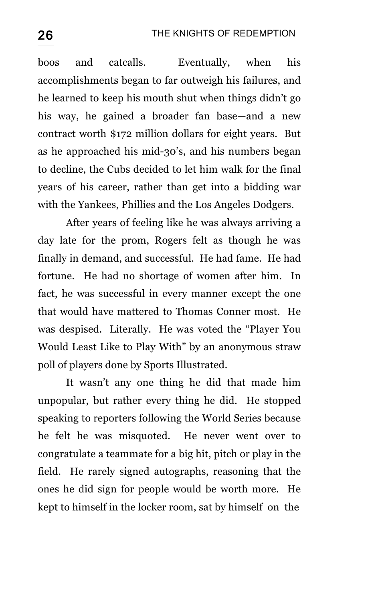boos and catcalls. Eventually, when his accomplishments began to far outweigh his failures, and he learned to keep his mouth shut when things didn't go his way, he gained a broader fan base—and a new contract worth \$172 million dollars for eight years. But as he approached his mid-30's, and his numbers began to decline, the Cubs decided to let him walk for the final years of his career, rather than get into a bidding war with the Yankees, Phillies and the Los Angeles Dodgers.

After years of feeling like he was always arriving a day late for the prom, Rogers felt as though he was finally in demand, and successful. He had fame. He had fortune. He had no shortage of women after him. In fact, he was successful in every manner except the one that would have mattered to Thomas Conner most. He was despised. Literally. He was voted the "Player You Would Least Like to Play With" by an anonymous straw poll of players done by Sports Illustrated.

It wasn't any one thing he did that made him unpopular, but rather every thing he did. He stopped speaking to reporters following the World Series because he felt he was misquoted. He never went over to congratulate a teammate for a big hit, pitch or play in the field. He rarely signed autographs, reasoning that the ones he did sign for people would be worth more. He kept to himself in the locker room, sat by himself on the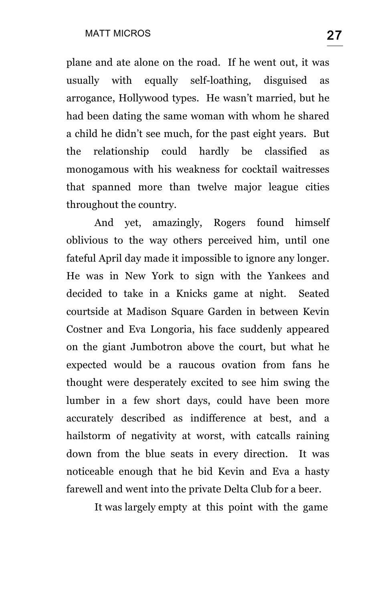plane and ate alone on the road. If he went out, it was usually with equally self-loathing, disguised as arrogance, Hollywood types. He wasn't married, but he had been dating the same woman with whom he shared a child he didn't see much, for the past eight years. But the relationship could hardly be classified as monogamous with his weakness for cocktail waitresses that spanned more than twelve major league cities throughout the country.

And yet, amazingly, Rogers found himself oblivious to the way others perceived him, until one fateful April day made it impossible to ignore any longer. He was in New York to sign with the Yankees and decided to take in a Knicks game at night. Seated courtside at Madison Square Garden in between Kevin Costner and Eva Longoria, his face suddenly appeared on the giant Jumbotron above the court, but what he expected would be a raucous ovation from fans he thought were desperately excited to see him swing the lumber in a few short days, could have been more accurately described as indifference at best, and a hailstorm of negativity at worst, with catcalls raining down from the blue seats in every direction. It was noticeable enough that he bid Kevin and Eva a hasty farewell and went into the private Delta Club for a beer.

It was largely empty at this point with the game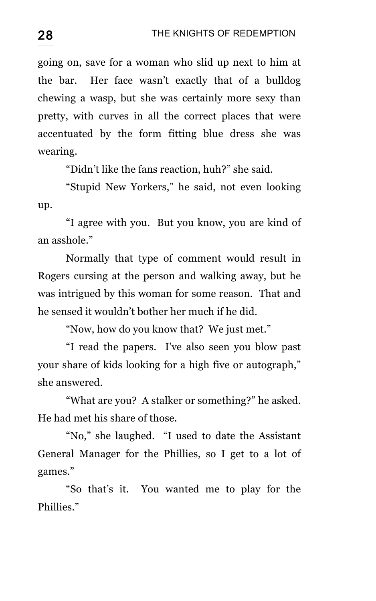going on, save for a woman who slid up next to him at the bar. Her face wasn't exactly that of a bulldog chewing a wasp, but she was certainly more sexy than pretty, with curves in all the correct places that were accentuated by the form fitting blue dress she was wearing.

"Didn't like the fans reaction, huh?" she said.

"Stupid New Yorkers," he said, not even looking up.

"I agree with you. But you know, you are kind of an asshole."

Normally that type of comment would result in Rogers cursing at the person and walking away, but he was intrigued by this woman for some reason. That and he sensed it wouldn't bother her much if he did.

"Now, how do you know that? We just met."

"I read the papers. I've also seen you blow past your share of kids looking for a high five or autograph," she answered.

"What are you? A stalker or something?" he asked. He had met his share of those.

"No," she laughed. "I used to date the Assistant General Manager for the Phillies, so I get to a lot of games."

"So that's it. You wanted me to play for the Phillies."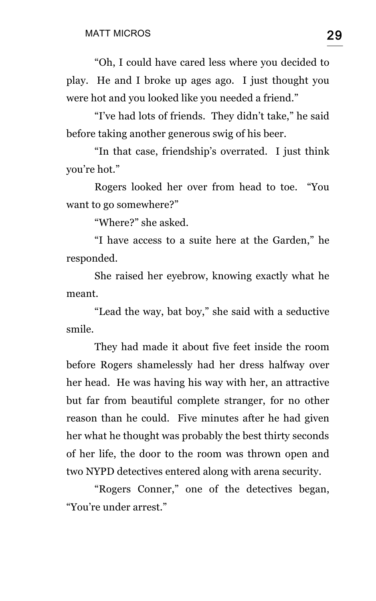"Oh, I could have cared less where you decided to play. He and I broke up ages ago. I just thought you were hot and you looked like you needed a friend."

"I've had lots of friends. They didn't take," he said before taking another generous swig of his beer.

"In that case, friendship's overrated. I just think you're hot."

Rogers looked her over from head to toe. "You want to go somewhere?"

"Where?" she asked.

"I have access to a suite here at the Garden," he responded.

She raised her eyebrow, knowing exactly what he meant.

"Lead the way, bat boy," she said with a seductive smile.

They had made it about five feet inside the room before Rogers shamelessly had her dress halfway over her head. He was having his way with her, an attractive but far from beautiful complete stranger, for no other reason than he could. Five minutes after he had given her what he thought was probably the best thirty seconds of her life, the door to the room was thrown open and two NYPD detectives entered along with arena security.

"Rogers Conner," one of the detectives began, "You're under arrest."